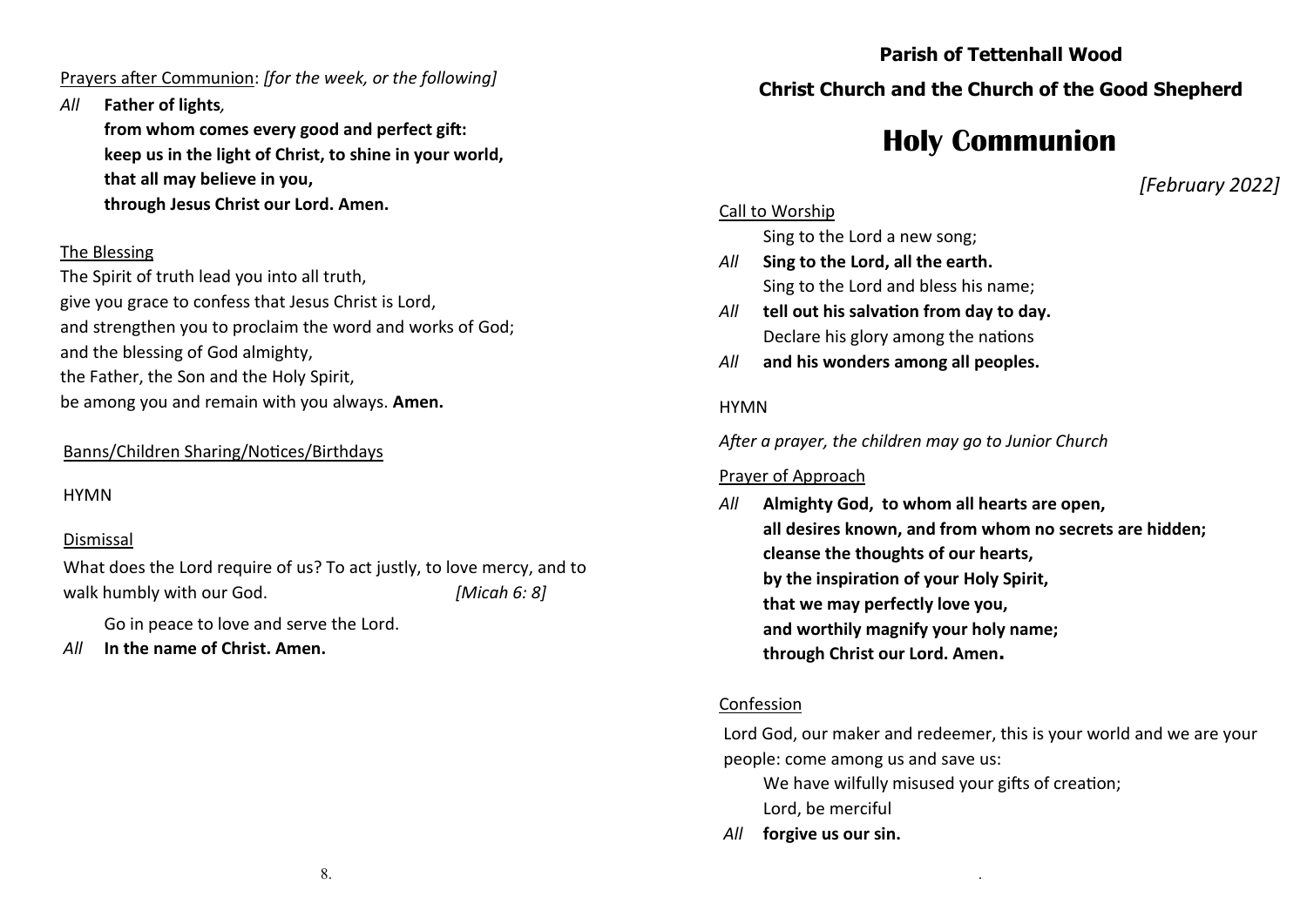Prayers after Communion: *[for the week, or the following]*

*All* **Father of lights***,* 

**from whom comes every good and perfect gift: keep us in the light of Christ, to shine in your world, that all may believe in you, through Jesus Christ our Lord. Amen.**

## The Blessing

The Spirit of truth lead you into all truth, give you grace to confess that Jesus Christ is Lord, and strengthen you to proclaim the word and works of God; and the blessing of God almighty, the Father, the Son and the Holy Spirit, be among you and remain with you always. **Amen.**

## Banns/Children Sharing/Notices/Birthdays

#### HYMN

## Dismissal

What does the Lord require of us? To act justly, to love mercy, and to walk humbly with our God. *[Micah 6: 8]*

Go in peace to love and serve the Lord.

*All* **In the name of Christ. Amen.** 

**Christ Church and the Church of the Good Shepherd**

# **Holy Communion**

*[February 2022]*

## Call to Worship

Sing to the Lord a new song;

- *All* **Sing to the Lord, all the earth.** Sing to the Lord and bless his name;
- *All* **tell out his salvation from day to day.** Declare his glory among the nations
- *All* **and his wonders among all peoples.**

## HYMN

*After a prayer, the children may go to Junior Church*

## Prayer of Approach

*All* **Almighty God, to whom all hearts are open, all desires known, and from whom no secrets are hidden; cleanse the thoughts of our hearts, by the inspiration of your Holy Spirit, that we may perfectly love you, and worthily magnify your holy name; through Christ our Lord. Amen.**

# Confession

Lord God, our maker and redeemer, this is your world and we are your people: come among us and save us:

.

We have wilfully misused your gifts of creation; Lord, be merciful

*All* **forgive us our sin.**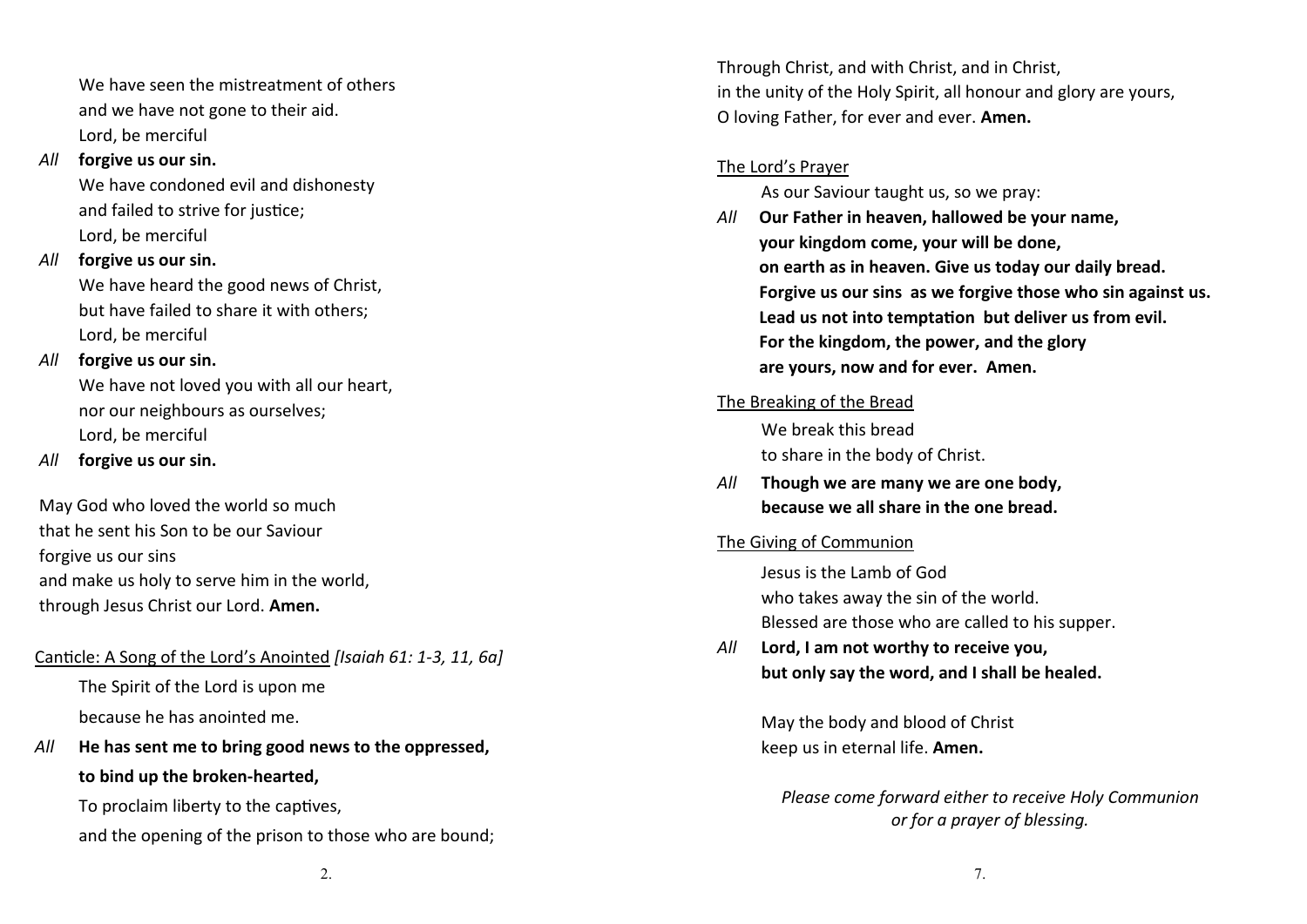We have seen the mistreatment of others and we have not gone to their aid. Lord, be merciful

#### *All* **forgive us our sin.**

We have condoned evil and dishonesty and failed to strive for justice; Lord, be merciful

## *All* **forgive us our sin.**

We have heard the good news of Christ, but have failed to share it with others; Lord, be merciful

## *All* **forgive us our sin.**

We have not loved you with all our heart, nor our neighbours as ourselves; Lord, be merciful

## *All* **forgive us our sin.**

May God who loved the world so much that he sent his Son to be our Saviour forgive us our sins and make us holy to serve him in the world, through Jesus Christ our Lord. **Amen.**

# Canticle: A Song of the Lord's Anointed *[Isaiah 61: 1-3, 11, 6a]*

 The Spirit of the Lord is upon me because he has anointed me.

# *All* **He has sent me to bring good news to the oppressed, to bind up the broken-hearted,**

To proclaim liberty to the captives,

and the opening of the prison to those who are bound;

Through Christ, and with Christ, and in Christ, in the unity of the Holy Spirit, all honour and glory are yours, O loving Father, for ever and ever. **Amen.**

# The Lord's Prayer

As our Saviour taught us, so we pray:

*All* **Our Father in heaven, hallowed be your name, your kingdom come, your will be done, on earth as in heaven. Give us today our daily bread. Forgive us our sins as we forgive those who sin against us. Lead us not into temptation but deliver us from evil. For the kingdom, the power, and the glory are yours, now and for ever. Amen.**

## The Breaking of the Bread

We break this bread to share in the body of Christ.

*All* **Though we are many we are one body, because we all share in the one bread.**

# The Giving of Communion

Jesus is the Lamb of God who takes away the sin of the world. Blessed are those who are called to his supper.

*All* **Lord, I am not worthy to receive you, but only say the word, and I shall be healed.**

> May the body and blood of Christ keep us in eternal life. **Amen.**

*Please come forward either to receive Holy Communion or for a prayer of blessing.*

2.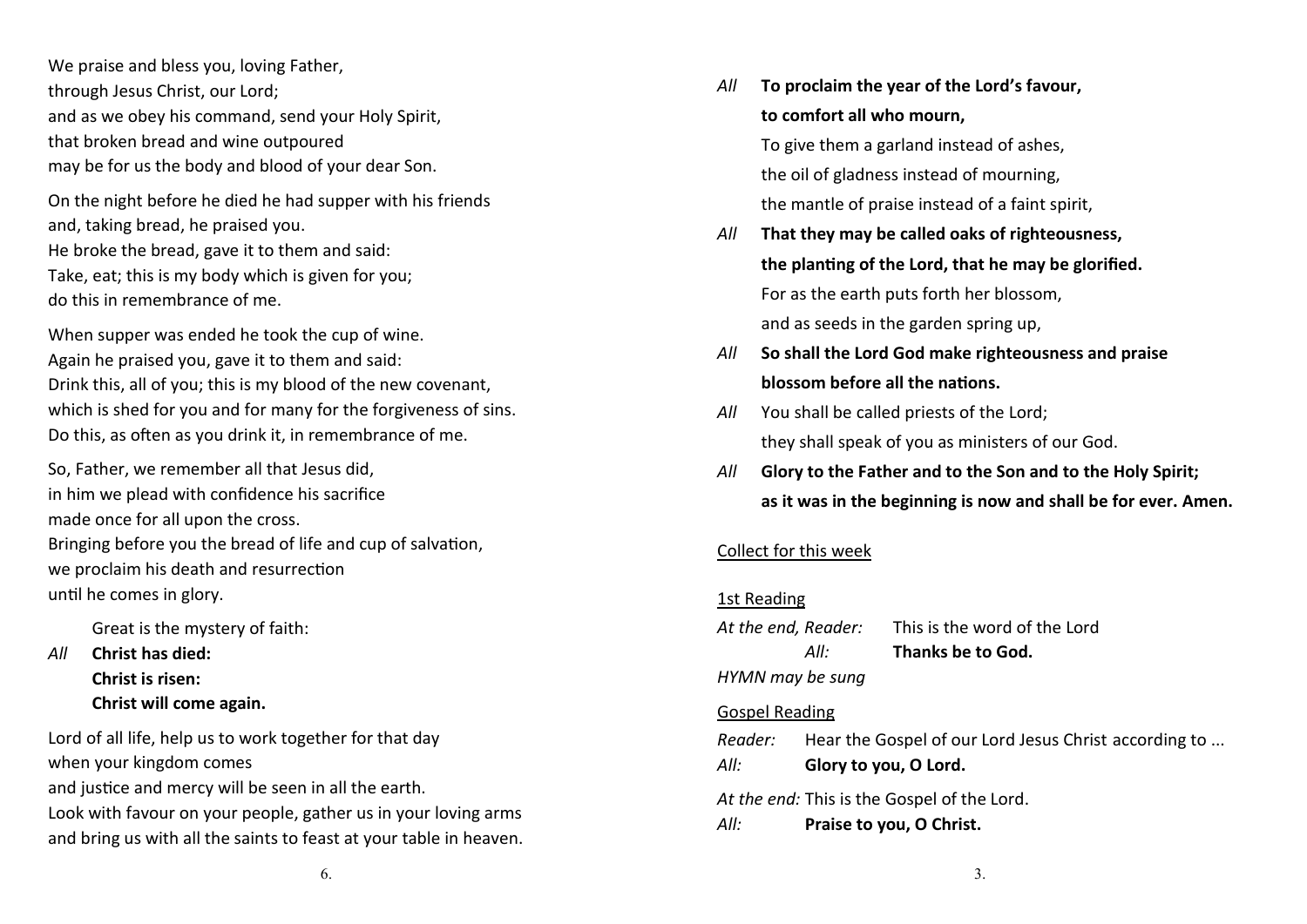We praise and bless you, loving Father, through Jesus Christ, our Lord; and as we obey his command, send your Holy Spirit, that broken bread and wine outpoured may be for us the body and blood of your dear Son.

On the night before he died he had supper with his friends and, taking bread, he praised you. He broke the bread, gave it to them and said: Take, eat; this is my body which is given for you; do this in remembrance of me.

When supper was ended he took the cup of wine. Again he praised you, gave it to them and said: Drink this, all of you; this is my blood of the new covenant, which is shed for you and for many for the forgiveness of sins. Do this, as often as you drink it, in remembrance of me.

So, Father, we remember all that Jesus did, in him we plead with confidence his sacrifice made once for all upon the cross. Bringing before you the bread of life and cup of salvation, we proclaim his death and resurrection until he comes in glory.

Great is the mystery of faith:

*All* **Christ has died: Christ is risen: Christ will come again.**

Lord of all life, help us to work together for that day when your kingdom comes and justice and mercy will be seen in all the earth. Look with favour on your people, gather us in your loving arms and bring us with all the saints to feast at your table in heaven.

- *All* **To proclaim the year of the Lord's favour, to comfort all who mourn,** To give them a garland instead of ashes, the oil of gladness instead of mourning, the mantle of praise instead of a faint spirit,
- *All* **That they may be called oaks of righteousness, the planting of the Lord, that he may be glorified.** For as the earth puts forth her blossom, and as seeds in the garden spring up,
- *All* **So shall the Lord God make righteousness and praise blossom before all the nations.**
- *All* You shall be called priests of the Lord; they shall speak of you as ministers of our God.
- *All* **Glory to the Father and to the Son and to the Holy Spirit; as it was in the beginning is now and shall be for ever. Amen.**

# Collect for this week

## 1st Reading

| At the end, Reader:                         |                                                       | This is the word of the Lord |
|---------------------------------------------|-------------------------------------------------------|------------------------------|
|                                             | All:                                                  | Thanks be to God.            |
| HYMN may be sung                            |                                                       |                              |
| <b>Gospel Reading</b>                       |                                                       |                              |
| Reader:                                     | Hear the Gospel of our Lord Jesus Christ according to |                              |
| All:                                        | Glory to you, O Lord.                                 |                              |
| At the end: This is the Gospel of the Lord. |                                                       |                              |
| All:                                        |                                                       | Praise to you, O Christ.     |
|                                             |                                                       |                              |